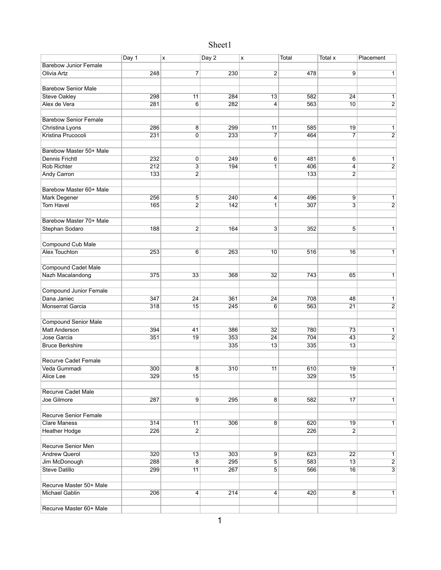## Sheet1

|                               | Day 1 | X                | Day 2 | X                       | <b>Total</b> | Total x         | Placement      |
|-------------------------------|-------|------------------|-------|-------------------------|--------------|-----------------|----------------|
| <b>Barebow Junior Female</b>  |       |                  |       |                         |              |                 |                |
| <b>Olivia Artz</b>            | 248   | $\overline{7}$   | 230   | $\overline{\mathbf{c}}$ | 478          | 9               | $\mathbf{1}$   |
|                               |       |                  |       |                         |              |                 |                |
| <b>Barebow Senior Male</b>    |       |                  |       |                         |              |                 |                |
| <b>Steve Oakley</b>           | 298   | $\overline{11}$  | 284   | 13                      | 582          | 24              | 1              |
| Alex de Vera                  | 281   | 6                | 282   | 4                       | 563          | 10              | $\overline{2}$ |
|                               |       |                  |       |                         |              |                 |                |
| <b>Barebow Senior Female</b>  |       |                  |       |                         |              |                 |                |
| Christina Lyons               | 286   | $\overline{8}$   | 299   | 11                      | 585          | 19              | 1              |
| Kristina Prucocoli            | 231   | $\pmb{0}$        | 233   | 7                       | 464          | 7               | $\overline{2}$ |
|                               |       |                  |       |                         |              |                 |                |
| Barebow Master 50+ Male       |       |                  |       |                         |              |                 |                |
| <b>Dennis Frichtl</b>         | 232   | $\pmb{0}$        | 249   | 6                       | 481          | 6               | $\mathbf{1}$   |
| <b>Rob Richter</b>            | 212   | 3                | 194   | 1                       | 406          | 4               | $\overline{2}$ |
| <b>Andy Carron</b>            | 133   | $\overline{c}$   |       |                         | 133          | $\overline{2}$  |                |
|                               |       |                  |       |                         |              |                 |                |
| Barebow Master 60+ Male       |       |                  |       |                         |              |                 |                |
| Mark Degener                  | 256   | 5                | 240   | 4                       | 496          | 9               | 1              |
| <b>Tom Havel</b>              | 165   | $\overline{2}$   | 142   | 1                       | 307          | 3               | $\overline{2}$ |
|                               |       |                  |       |                         |              |                 |                |
| Barebow Master 70+ Male       |       |                  |       |                         |              |                 |                |
| Stephan Sodaro                | 188   | $\overline{2}$   | 164   | $\overline{3}$          | 352          | 5               | 1              |
|                               |       |                  |       |                         |              |                 |                |
| Compound Cub Male             |       |                  |       |                         |              |                 |                |
| <b>Alex Touchton</b>          | 253   | 6                | 263   | 10                      | 516          | 16              | $\mathbf{1}$   |
|                               |       |                  |       |                         |              |                 |                |
| <b>Compound Cadet Male</b>    |       |                  |       |                         |              |                 |                |
| Nazh Macalandong              | 375   | 33               | 368   | 32                      | 743          | 65              | $\mathbf{1}$   |
|                               |       |                  |       |                         |              |                 |                |
| <b>Compound Junior Female</b> |       |                  |       |                         |              |                 |                |
| Dana Janiec                   | 347   | 24               | 361   | 24                      | 708          | 48              | $\mathbf{1}$   |
| Monserrat Garcia              | 318   | 15               | 245   | $6\overline{6}$         | 563          | $\overline{21}$ | $\overline{2}$ |
|                               |       |                  |       |                         |              |                 |                |
| <b>Compound Senior Male</b>   |       |                  |       |                         |              |                 |                |
| <b>Matt Anderson</b>          | 394   | 41               | 386   | 32                      | 780          | 73              | 1              |
| Jose Garcia                   | 351   | 19               | 353   | 24                      | 704          | 43              | $\overline{2}$ |
| <b>Bruce Berkshire</b>        |       |                  | 335   | 13                      | 335          | 13              |                |
|                               |       |                  |       |                         |              |                 |                |
| <b>Recurve Cadet Female</b>   |       |                  |       |                         |              |                 |                |
| Veda Gummadi                  | 300   | 8                | 310   | 11                      | 610          | 19              | 1              |
| <b>Alice Lee</b>              | 329   | 15               |       |                         | 329          | 15              |                |
|                               |       |                  |       |                         |              |                 |                |
| <b>Recurve Cadet Male</b>     |       |                  |       |                         |              |                 |                |
| Joe Gilmore                   | 287   | 9                | 295   | 8                       | 582          | 17              | $\mathbf{1}$   |
|                               |       |                  |       |                         |              |                 |                |
| <b>Recurve Senior Female</b>  |       |                  |       |                         |              |                 |                |
| <b>Clare Maness</b>           | 314   | 11               | 306   | 8                       | 620          | 19              | $\mathbf{1}$   |
| <b>Heather Hodge</b>          | 226   | $\boldsymbol{2}$ |       |                         | 226          | $\overline{2}$  |                |
|                               |       |                  |       |                         |              |                 |                |
| Recurve Senior Men            |       |                  |       |                         |              |                 |                |
| <b>Andrew Querol</b>          | 320   | 13               | 303   | 9                       | 623          | $\overline{22}$ | $\mathbf{1}$   |
| Jim McDonough                 | 288   | $\overline{8}$   | 295   | 5                       | 583          | 13              | $\overline{2}$ |
| <b>Steve Datillo</b>          | 299   | 11               | 267   | $\overline{5}$          | 566          | 16              | $\overline{3}$ |
|                               |       |                  |       |                         |              |                 |                |
| Recurve Master 50+ Male       |       |                  |       |                         |              |                 |                |
| <b>Michael Gablin</b>         | 206   |                  | 214   |                         | 420          | 8               | $\mathbf{1}$   |
|                               |       | 4                |       | 4                       |              |                 |                |
| Recurve Master 60+ Male       |       |                  |       |                         |              |                 |                |
|                               |       |                  |       |                         |              |                 |                |